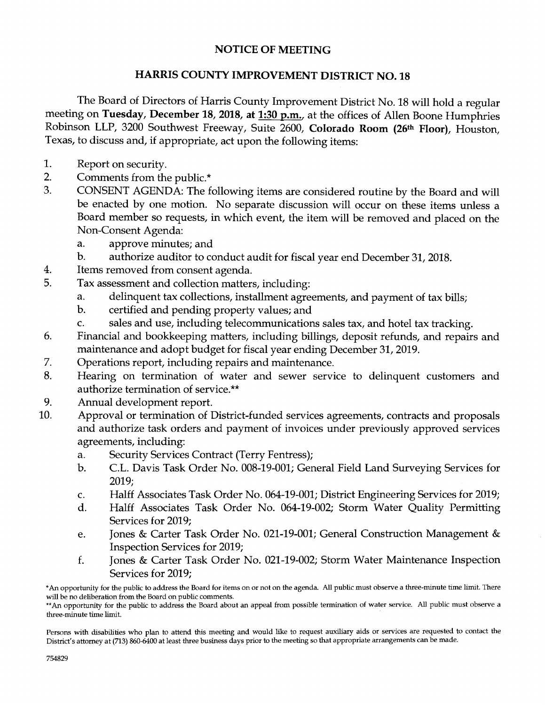## **NOTICE OF MEETING**

## **HARRIS COUNTY IMPROVEMENT DISTRICT NO. 18**

The Board of Directors of Harris County Improvement District No. 18 will hold a regular meeting on **Tuesday, December 18, 2018, at 1:30 p.m.,** at the offices of Allen Boone Humphries Robinson LLP, 3200 Southwest Freeway, Suite 2600, **Colorado Room** (26th **Floor),** Houston, Texas, to discuss and, if appropriate, act upon the following items:

- 1. Report on security.
- 2. Comments from the public.\*
- 3. CONSENT AGENDA: The following items are considered routine by the Board and will be enacted by one motion. No separate discussion will occur on these items unless a Board member so requests, in which event, the item will be removed and placed on the Non-Consent Agenda:
	- a. approve minutes; and
	- b. authorize auditor to conduct audit for fiscal year end December 31, 2018.
- 4. Items removed from consent agenda.
- 5. Tax assessment and collection matters, including:
	- a. delinquent tax collections, installment agreements, and payment of tax bills;
	- b. certified and pending property values; and
	- c. sales and use, including telecommunications sales tax, and hotel tax tracking.
- 6. Financial and bookkeeping matters, including billings, deposit refunds, and repairs and maintenance and adopt budget for fiscal year ending December 31, 2019.
- 7. Operations report, including repairs and maintenance.
- 8. Hearing on termination of water and sewer service to delinquent customers and authorize termination of service.\*\*
- 9. Annual development report.
- 10. Approval or termination of District-funded services agreements, contracts and proposals and authorize task orders and payment of invoices under previously approved services agreements, including:
	- a. Security Services Contract (Terry Fentress);
	- b. C.L. Davis Task Order No. 008-19-001; General Field Land Surveying Services for 2019;
	- c. Halff Associates Task Order No. 064-19-001; District Engineering Services for 2019;
	- d. Halff Associates Task Order No. 064-19-002; Storm Water Quality Permitting Services for 2019;
	- e. Jones & Carter Task Order No. 021-19-001; General Construction Management & Inspection Services for 2019;
	- f. Jones & Carter Task Order No. 021-19-002; Storm Water Maintenance Inspection Services for 2019;

Persons with disabilities who plan to attend this meeting and would like to request auxiliary aids or services are requested to contact the District's attorney at (713) 860-6400 at least three business days prior to the meeting so that appropriate arrangements can be made.

<sup>\*</sup>An opportunity for the public to address the Board for items on or not on the agenda. All public must observe a three-minute time limit. There will be no deliberation from the Board on public comments.

<sup>\*\*</sup>An opportunity for the public to address the Board about an appeal from possible termination of water service. All public must observe a three-minute time limit.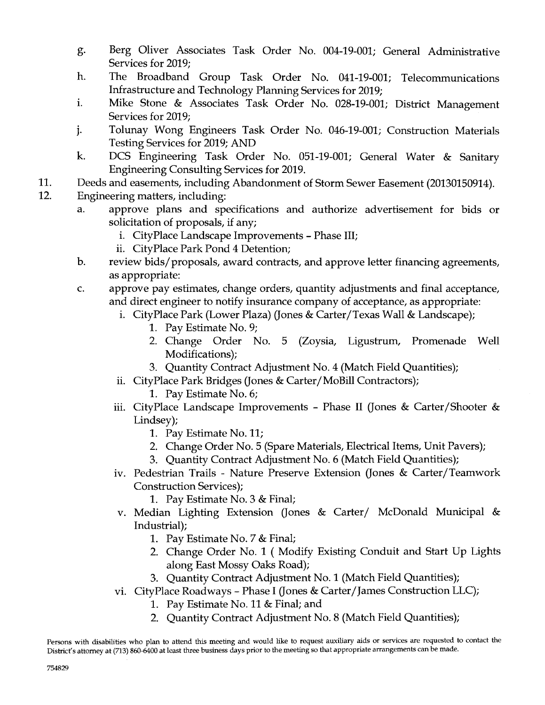- g. Berg Oliver Associates Task Order No. 004-19-001; General Administrative Services for 2019;
- h. The Broadband Group Task Order No. 041-19-001; Telecommunications Infrastructure and Technology Planning Services for 2019;
- i. Mike Stone & Associates Task Order No. 028-19-001; District Management Services for 2019;
- j. Tolunay Wong Engineers Task Order No. 046-19-001; Construction Materials Testing Services for 2019; AND
- k. DCS Engineering Task Order No. 051-19-001; General Water & Sanitary Engineering Consulting Services for 2019.
- 11. Deeds and easements, including Abandonment of Storm Sewer Easement (20130150914).
- 12. Engineering matters, including:
	- a. approve plans and specifications and authorize advertisement for bids or solicitation of proposals, if any;
		- i. CityPlace Landscape Improvements Phase III;
		- ii. City Place Park Pond 4 Detention;
	- b. review bids/proposals, award contracts, and approve letter financing agreements, as appropriate:
	- c. approve pay estimates, change orders, quantity adjustments and final acceptance, and direct engineer to notify insurance company of acceptance, as appropriate:
		- i. CityPlace Park (Lower Plaza) (Jones & Carter/Texas Wall & Landscape);
			- 1. Pay Estimate No. 9;
			- 2. Change Order No. 5 (Zoysia, Ligustrum, Promenade Well Modifications);
			- 3. Quantity Contract Adjustment No. 4 (Match Field Quantities);
		- ii. CityPlace Park Bridges (Jones & Carter/MoBill Contractors);
			- 1. Pay Estimate No. 6;
		- iii. CityPlace Landscape Improvements Phase II (Jones & Carter/Shooter & Lindsey);
			- 1. Pay Estimate No. 11;
			- 2. Change Order No. 5 (Spare Materials, Electrical Items, Unit Pavers);
			- 3. Quantity Contract Adjustment No. 6 (Match Field Quantities);
		- iv. Pedestrian Trails Nature Preserve Extension (Jones & Carter/Teamwork Construction Services);
			- 1. Pay Estimate No. 3 & Final;
		- v. Median Lighting Extension (Jones & Carter/ McDonald Municipal & Industrial);
			- 1. Pay Estimate No. 7 & Final;
			- 2. Change Order No. 1 (Modify Existing Conduit and Start Up Lights along East Mossy Oaks Road);
			- 3. Quantity Contract Adjustment No. 1 (Match Field Quantities);
		- vi. CityPlace Roadways Phase I (Jones & Carter/James Construction LLC);
			- 1. Pay Estimate No. 11 & Final; and
			- 2. Quantity Contract Adjustment No. 8 (Match Field Quantities);

Persons with disabilities who plan to attend this meeting and would like to request auxiliary aids or services are requested to contact the District's attorney at (713) 860-6400 at least three business days prior to the meeting so that appropriate arrangements can be made.